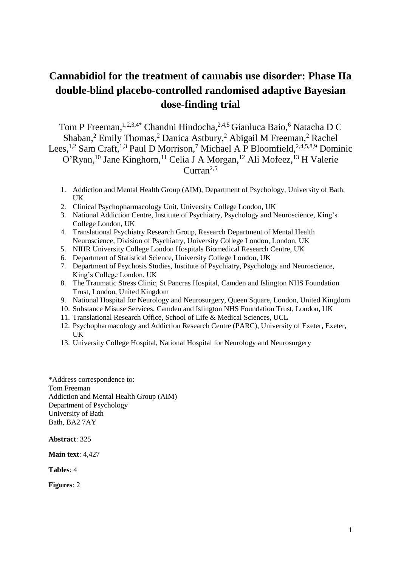# **Cannabidiol for the treatment of cannabis use disorder: Phase IIa double-blind placebo-controlled randomised adaptive Bayesian dose-finding trial**

Tom P Freeman, <sup>1,2,3,4\*</sup> Chandni Hindocha, <sup>2,4,5</sup> Gianluca Baio,<sup>6</sup> Natacha D C Shaban, <sup>2</sup> Emily Thomas, <sup>2</sup> Danica Astbury, <sup>2</sup> Abigail M Freeman, <sup>2</sup> Rachel Lees,<sup>1,2</sup> Sam Craft,<sup>1,3</sup> Paul D Morrison,<sup>7</sup> Michael A P Bloomfield,<sup>2,4,5,8,9</sup> Dominic O'Ryan,<sup>10</sup> Jane Kinghorn,<sup>11</sup> Celia J A Morgan,<sup>12</sup> Ali Mofeez,<sup>13</sup> H Valerie  $Curran<sup>2,5</sup>$ 

- 1. Addiction and Mental Health Group (AIM), Department of Psychology, University of Bath, UK
- 2. Clinical Psychopharmacology Unit, University College London, UK
- 3. National Addiction Centre, Institute of Psychiatry, Psychology and Neuroscience, King's College London, UK
- 4. Translational Psychiatry Research Group, Research Department of Mental Health Neuroscience, Division of Psychiatry, University College London, London, UK
- 5. NIHR University College London Hospitals Biomedical Research Centre, UK
- 6. Department of Statistical Science, University College London, UK
- 7. Department of Psychosis Studies, Institute of Psychiatry, Psychology and Neuroscience, King's College London, UK
- 8. The Traumatic Stress Clinic, St Pancras Hospital, Camden and Islington NHS Foundation Trust, London, United Kingdom
- 9. National Hospital for Neurology and Neurosurgery, Queen Square, London, United Kingdom
- 10. Substance Misuse Services, Camden and Islington NHS Foundation Trust, London, UK
- 11. Translational Research Office, School of Life & Medical Sciences, UCL
- 12. Psychopharmacology and Addiction Research Centre (PARC), University of Exeter, Exeter, UK
- 13. University College Hospital, National Hospital for Neurology and Neurosurgery

\*Address correspondence to: Tom Freeman Addiction and Mental Health Group (AIM) Department of Psychology University of Bath Bath, BA2 7AY

**Abstract**: 325

**Main text**: 4,427

**Tables**: 4

**Figures**: 2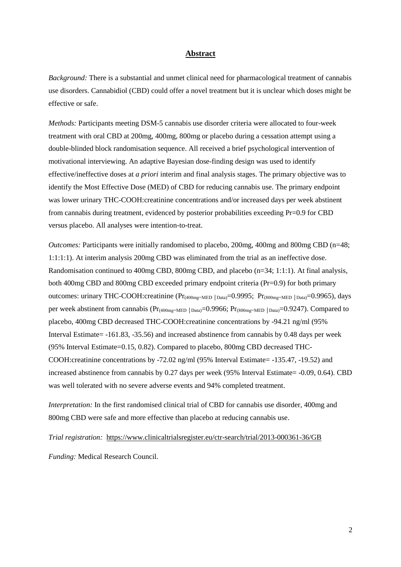#### **Abstract**

*Background:* There is a substantial and unmet clinical need for pharmacological treatment of cannabis use disorders. Cannabidiol (CBD) could offer a novel treatment but it is unclear which doses might be effective or safe.

*Methods:* Participants meeting DSM-5 cannabis use disorder criteria were allocated to four-week treatment with oral CBD at 200mg, 400mg, 800mg or placebo during a cessation attempt using a double-blinded block randomisation sequence. All received a brief psychological intervention of motivational interviewing. An adaptive Bayesian dose-finding design was used to identify effective/ineffective doses at *a priori* interim and final analysis stages. The primary objective was to identify the Most Effective Dose (MED) of CBD for reducing cannabis use. The primary endpoint was lower urinary THC-COOH:creatinine concentrations and/or increased days per week abstinent from cannabis during treatment, evidenced by posterior probabilities exceeding Pr=0.9 for CBD versus placebo. All analyses were intention-to-treat.

*Outcomes:* Participants were initially randomised to placebo, 200mg, 400mg and 800mg CBD (n=48; 1:1:1:1). At interim analysis 200mg CBD was eliminated from the trial as an ineffective dose. Randomisation continued to 400mg CBD, 800mg CBD, and placebo (n=34; 1:1:1). At final analysis, both 400mg CBD and 800mg CBD exceeded primary endpoint criteria (Pr=0.9) for both primary outcomes: urinary THC-COOH:creatinine (Pr<sub>(400mg=MED |Data)</sub>=0.9995; Pr<sub>(800mg=MED</sub> |<sub>Data)</sub>=0.9965), days per week abstinent from cannabis (Pr<sub>(400mg=MED</sub> | Data)=0.9966; Pr<sub>(800mg=MED</sub> | Data)=0.9247). Compared to placebo, 400mg CBD decreased THC-COOH:creatinine concentrations by -94.21 ng/ml (95% Interval Estimate= -161.83, -35.56) and increased abstinence from cannabis by 0.48 days per week (95% Interval Estimate=0.15, 0.82). Compared to placebo, 800mg CBD decreased THC-COOH:creatinine concentrations by -72.02 ng/ml (95% Interval Estimate= -135.47, -19.52) and increased abstinence from cannabis by 0.27 days per week (95% Interval Estimate= -0.09, 0.64). CBD was well tolerated with no severe adverse events and 94% completed treatment.

*Interpretation:* In the first randomised clinical trial of CBD for cannabis use disorder, 400mg and 800mg CBD were safe and more effective than placebo at reducing cannabis use.

*Trial registration:* <https://www.clinicaltrialsregister.eu/ctr-search/trial/2013-000361-36/GB>

*Funding:* Medical Research Council.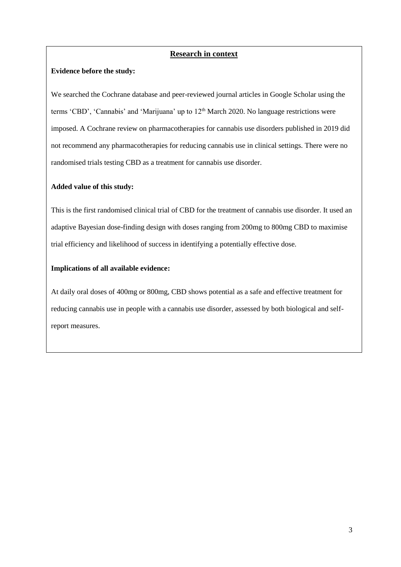## **Research in context**

## **Evidence before the study:**

We searched the Cochrane database and peer-reviewed journal articles in Google Scholar using the terms 'CBD', 'Cannabis' and 'Marijuana' up to 12<sup>th</sup> March 2020. No language restrictions were imposed. A Cochrane review on pharmacotherapies for cannabis use disorders published in 2019 did not recommend any pharmacotherapies for reducing cannabis use in clinical settings. There were no randomised trials testing CBD as a treatment for cannabis use disorder.

## **Added value of this study:**

This is the first randomised clinical trial of CBD for the treatment of cannabis use disorder. It used an adaptive Bayesian dose-finding design with doses ranging from 200mg to 800mg CBD to maximise trial efficiency and likelihood of success in identifying a potentially effective dose.

## **Implications of all available evidence:**

At daily oral doses of 400mg or 800mg, CBD shows potential as a safe and effective treatment for reducing cannabis use in people with a cannabis use disorder, assessed by both biological and selfreport measures.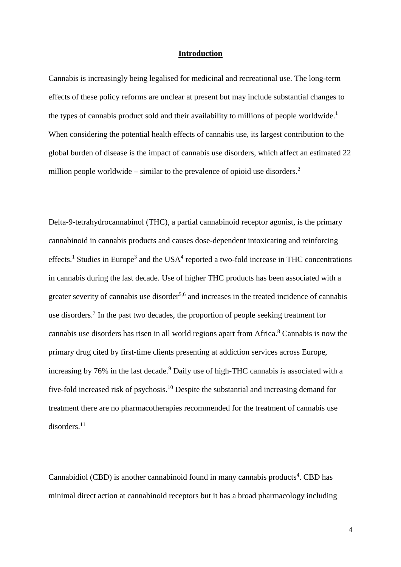#### **Introduction**

Cannabis is increasingly being legalised for medicinal and recreational use. The long-term effects of these policy reforms are unclear at present but may include substantial changes to the types of cannabis product sold and their availability to millions of people worldwide.<sup>1</sup> When considering the potential health effects of cannabis use, its largest contribution to the global burden of disease is the impact of cannabis use disorders, which affect an estimated 22 million people worldwide – similar to the prevalence of opioid use disorders.<sup>2</sup>

Delta-9-tetrahydrocannabinol (THC), a partial cannabinoid receptor agonist, is the primary cannabinoid in cannabis products and causes dose-dependent intoxicating and reinforcing effects.<sup>1</sup> Studies in Europe<sup>3</sup> and the USA<sup>4</sup> reported a two-fold increase in THC concentrations in cannabis during the last decade. Use of higher THC products has been associated with a greater severity of cannabis use disorder<sup>5,6</sup> and increases in the treated incidence of cannabis use disorders.<sup>7</sup> In the past two decades, the proportion of people seeking treatment for cannabis use disorders has risen in all world regions apart from Africa.<sup>8</sup> Cannabis is now the primary drug cited by first-time clients presenting at addiction services across Europe, increasing by 76% in the last decade.<sup>9</sup> Daily use of high-THC cannabis is associated with a five-fold increased risk of psychosis.<sup>10</sup> Despite the substantial and increasing demand for treatment there are no pharmacotherapies recommended for the treatment of cannabis use disorders.<sup>11</sup>

Cannabidiol (CBD) is another cannabinoid found in many cannabis products<sup>4</sup>. CBD has minimal direct action at cannabinoid receptors but it has a broad pharmacology including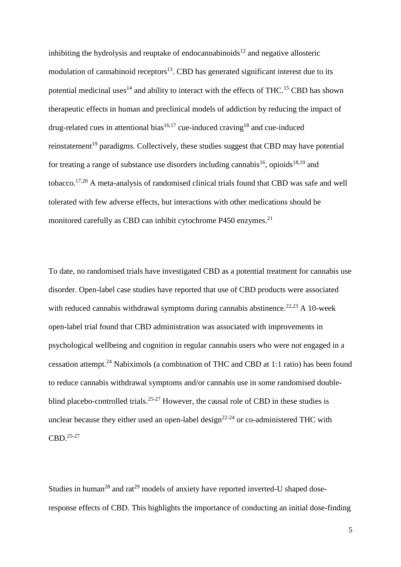inhibiting the hydrolysis and reuptake of endocannabinoids<sup>12</sup> and negative allosteric modulation of cannabinoid receptors $13$ . CBD has generated significant interest due to its potential medicinal uses<sup>14</sup> and ability to interact with the effects of THC.<sup>15</sup> CBD has shown therapeutic effects in human and preclinical models of addiction by reducing the impact of drug-related cues in attentional bias<sup>16,17</sup> cue-induced craving<sup>18</sup> and cue-induced reinstatement<sup>19</sup> paradigms. Collectively, these studies suggest that CBD may have potential for treating a range of substance use disorders including cannabis<sup>16</sup>, opioids<sup>18,19</sup> and tobacco.<sup>17,20</sup> A meta-analysis of randomised clinical trials found that CBD was safe and well tolerated with few adverse effects, but interactions with other medications should be monitored carefully as CBD can inhibit cytochrome P450 enzymes.<sup>21</sup>

To date, no randomised trials have investigated CBD as a potential treatment for cannabis use disorder. Open-label case studies have reported that use of CBD products were associated with reduced cannabis withdrawal symptoms during cannabis abstinence.<sup>22,23</sup> A 10-week open-label trial found that CBD administration was associated with improvements in psychological wellbeing and cognition in regular cannabis users who were not engaged in a cessation attempt. <sup>24</sup> Nabiximols (a combination of THC and CBD at 1:1 ratio) has been found to reduce cannabis withdrawal symptoms and/or cannabis use in some randomised doubleblind placebo-controlled trials.<sup>25-27</sup> However, the causal role of CBD in these studies is unclear because they either used an open-label design<sup>22-24</sup> or co-administered THC with CBD.25-27

Studies in human<sup>28</sup> and rat<sup>29</sup> models of anxiety have reported inverted-U shaped doseresponse effects of CBD. This highlights the importance of conducting an initial dose-finding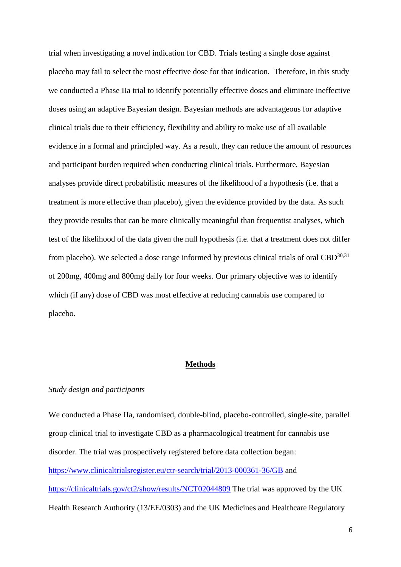trial when investigating a novel indication for CBD. Trials testing a single dose against placebo may fail to select the most effective dose for that indication. Therefore, in this study we conducted a Phase IIa trial to identify potentially effective doses and eliminate ineffective doses using an adaptive Bayesian design. Bayesian methods are advantageous for adaptive clinical trials due to their efficiency, flexibility and ability to make use of all available evidence in a formal and principled way. As a result, they can reduce the amount of resources and participant burden required when conducting clinical trials. Furthermore, Bayesian analyses provide direct probabilistic measures of the likelihood of a hypothesis (i.e. that a treatment is more effective than placebo), given the evidence provided by the data. As such they provide results that can be more clinically meaningful than frequentist analyses, which test of the likelihood of the data given the null hypothesis (i.e. that a treatment does not differ from placebo). We selected a dose range informed by previous clinical trials of oral  $CBD^{30,31}$ of 200mg, 400mg and 800mg daily for four weeks. Our primary objective was to identify which (if any) dose of CBD was most effective at reducing cannabis use compared to placebo.

## **Methods**

#### *Study design and participants*

We conducted a Phase IIa, randomised, double-blind, placebo-controlled, single-site, parallel group clinical trial to investigate CBD as a pharmacological treatment for cannabis use disorder. The trial was prospectively registered before data collection began: <https://www.clinicaltrialsregister.eu/ctr-search/trial/2013-000361-36/GB> and <https://clinicaltrials.gov/ct2/show/results/NCT02044809> The trial was approved by the UK Health Research Authority (13/EE/0303) and the UK Medicines and Healthcare Regulatory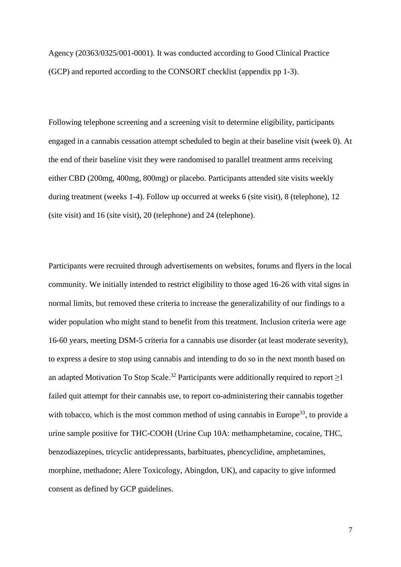Agency (20363/0325/001-0001). It was conducted according to Good Clinical Practice (GCP) and reported according to the CONSORT checklist (appendix pp 1-3).

Following telephone screening and a screening visit to determine eligibility, participants engaged in a cannabis cessation attempt scheduled to begin at their baseline visit (week 0). At the end of their baseline visit they were randomised to parallel treatment arms receiving either CBD (200mg, 400mg, 800mg) or placebo. Participants attended site visits weekly during treatment (weeks 1-4). Follow up occurred at weeks 6 (site visit), 8 (telephone), 12 (site visit) and 16 (site visit), 20 (telephone) and 24 (telephone).

Participants were recruited through advertisements on websites, forums and flyers in the local community. We initially intended to restrict eligibility to those aged 16-26 with vital signs in normal limits, but removed these criteria to increase the generalizability of our findings to a wider population who might stand to benefit from this treatment. Inclusion criteria were age 16-60 years, meeting DSM-5 criteria for a cannabis use disorder (at least moderate severity), to express a desire to stop using cannabis and intending to do so in the next month based on an adapted Motivation To Stop Scale.<sup>32</sup> Participants were additionally required to report  $\geq$ 1 failed quit attempt for their cannabis use, to report co-administering their cannabis together with tobacco, which is the most common method of using cannabis in Europe<sup>33</sup>, to provide a urine sample positive for THC-COOH (Urine Cup 10A: methamphetamine, cocaine, THC, benzodiazepines, tricyclic antidepressants, barbituates, phencyclidine, amphetamines, morphine, methadone; Alere Toxicology, Abingdon, UK), and capacity to give informed consent as defined by GCP guidelines.

7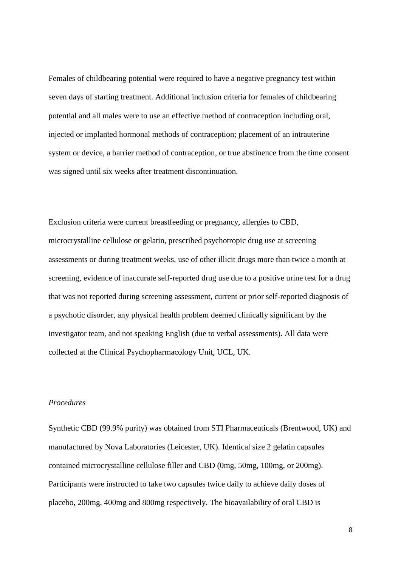Females of childbearing potential were required to have a negative pregnancy test within seven days of starting treatment. Additional inclusion criteria for females of childbearing potential and all males were to use an effective method of contraception including oral, injected or implanted hormonal methods of contraception; placement of an intrauterine system or device, a barrier method of contraception, or true abstinence from the time consent was signed until six weeks after treatment discontinuation.

Exclusion criteria were current breastfeeding or pregnancy, allergies to CBD, microcrystalline cellulose or gelatin, prescribed psychotropic drug use at screening assessments or during treatment weeks, use of other illicit drugs more than twice a month at screening, evidence of inaccurate self-reported drug use due to a positive urine test for a drug that was not reported during screening assessment, current or prior self-reported diagnosis of a psychotic disorder, any physical health problem deemed clinically significant by the investigator team, and not speaking English (due to verbal assessments). All data were collected at the Clinical Psychopharmacology Unit, UCL, UK.

## *Procedures*

Synthetic CBD (99.9% purity) was obtained from STI Pharmaceuticals (Brentwood, UK) and manufactured by Nova Laboratories (Leicester, UK). Identical size 2 gelatin capsules contained microcrystalline cellulose filler and CBD (0mg, 50mg, 100mg, or 200mg). Participants were instructed to take two capsules twice daily to achieve daily doses of placebo, 200mg, 400mg and 800mg respectively. The bioavailability of oral CBD is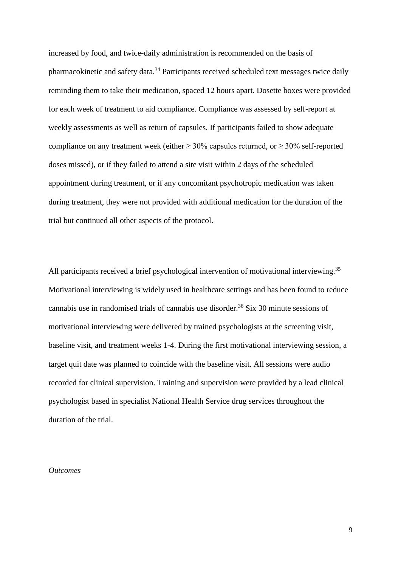increased by food, and twice-daily administration is recommended on the basis of pharmacokinetic and safety data.<sup>34</sup> Participants received scheduled text messages twice daily reminding them to take their medication, spaced 12 hours apart. Dosette boxes were provided for each week of treatment to aid compliance. Compliance was assessed by self-report at weekly assessments as well as return of capsules. If participants failed to show adequate compliance on any treatment week (either  $\geq 30\%$  capsules returned, or  $\geq 30\%$  self-reported doses missed), or if they failed to attend a site visit within 2 days of the scheduled appointment during treatment, or if any concomitant psychotropic medication was taken during treatment, they were not provided with additional medication for the duration of the trial but continued all other aspects of the protocol.

All participants received a brief psychological intervention of motivational interviewing.<sup>35</sup> Motivational interviewing is widely used in healthcare settings and has been found to reduce cannabis use in randomised trials of cannabis use disorder.<sup>36</sup> Six 30 minute sessions of motivational interviewing were delivered by trained psychologists at the screening visit, baseline visit, and treatment weeks 1-4. During the first motivational interviewing session, a target quit date was planned to coincide with the baseline visit. All sessions were audio recorded for clinical supervision. Training and supervision were provided by a lead clinical psychologist based in specialist National Health Service drug services throughout the duration of the trial.

*Outcomes*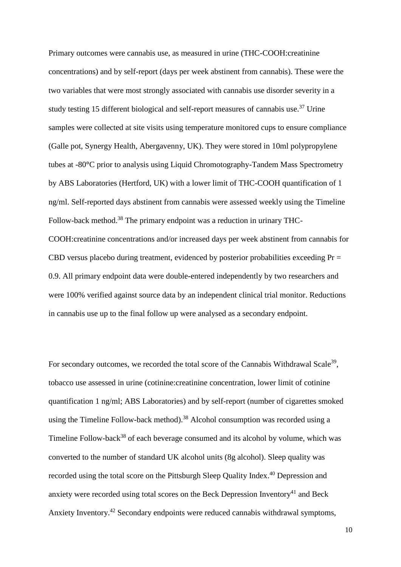Primary outcomes were cannabis use, as measured in urine (THC-COOH:creatinine concentrations) and by self-report (days per week abstinent from cannabis). These were the two variables that were most strongly associated with cannabis use disorder severity in a study testing 15 different biological and self-report measures of cannabis use.<sup>37</sup> Urine samples were collected at site visits using temperature monitored cups to ensure compliance (Galle pot, Synergy Health, Abergavenny, UK). They were stored in 10ml polypropylene tubes at -80**°**C prior to analysis using Liquid Chromotography-Tandem Mass Spectrometry by ABS Laboratories (Hertford, UK) with a lower limit of THC-COOH quantification of 1 ng/ml. Self-reported days abstinent from cannabis were assessed weekly using the Timeline Follow-back method.<sup>38</sup> The primary endpoint was a reduction in urinary THC-COOH:creatinine concentrations and/or increased days per week abstinent from cannabis for CBD versus placebo during treatment, evidenced by posterior probabilities exceeding  $Pr =$ 0.9. All primary endpoint data were double-entered independently by two researchers and were 100% verified against source data by an independent clinical trial monitor. Reductions in cannabis use up to the final follow up were analysed as a secondary endpoint.

For secondary outcomes, we recorded the total score of the Cannabis Withdrawal Scale<sup>39</sup>, tobacco use assessed in urine (cotinine:creatinine concentration, lower limit of cotinine quantification 1 ng/ml; ABS Laboratories) and by self-report (number of cigarettes smoked using the Timeline Follow-back method).<sup>38</sup> Alcohol consumption was recorded using a Timeline Follow-back<sup>38</sup> of each beverage consumed and its alcohol by volume, which was converted to the number of standard UK alcohol units (8g alcohol). Sleep quality was recorded using the total score on the Pittsburgh Sleep Quality Index.<sup>40</sup> Depression and anxiety were recorded using total scores on the Beck Depression Inventory<sup>41</sup> and Beck Anxiety Inventory.<sup>42</sup> Secondary endpoints were reduced cannabis withdrawal symptoms,

10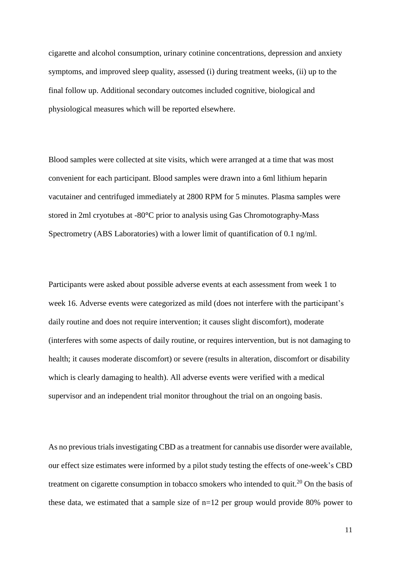cigarette and alcohol consumption, urinary cotinine concentrations, depression and anxiety symptoms, and improved sleep quality, assessed (i) during treatment weeks, (ii) up to the final follow up. Additional secondary outcomes included cognitive, biological and physiological measures which will be reported elsewhere.

Blood samples were collected at site visits, which were arranged at a time that was most convenient for each participant. Blood samples were drawn into a 6ml lithium heparin vacutainer and centrifuged immediately at 2800 RPM for 5 minutes. Plasma samples were stored in 2ml cryotubes at -80**°**C prior to analysis using Gas Chromotography-Mass Spectrometry (ABS Laboratories) with a lower limit of quantification of 0.1 ng/ml.

Participants were asked about possible adverse events at each assessment from week 1 to week 16. Adverse events were categorized as mild (does not interfere with the participant's daily routine and does not require intervention; it causes slight discomfort), moderate (interferes with some aspects of daily routine, or requires intervention, but is not damaging to health; it causes moderate discomfort) or severe (results in alteration, discomfort or disability which is clearly damaging to health). All adverse events were verified with a medical supervisor and an independent trial monitor throughout the trial on an ongoing basis.

As no previous trials investigating CBD as a treatment for cannabis use disorder were available, our effect size estimates were informed by a pilot study testing the effects of one-week's CBD treatment on cigarette consumption in tobacco smokers who intended to quit.<sup>20</sup> On the basis of these data, we estimated that a sample size of n=12 per group would provide 80% power to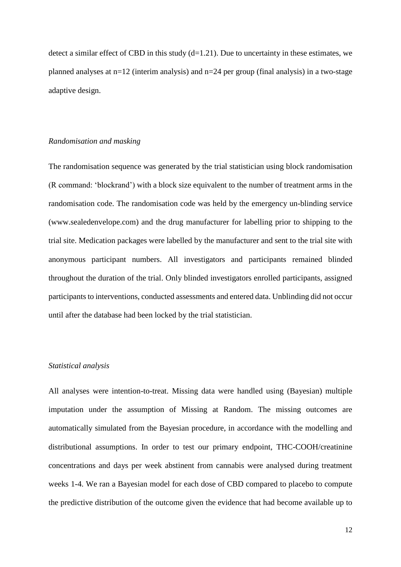detect a similar effect of CBD in this study  $(d=1.21)$ . Due to uncertainty in these estimates, we planned analyses at  $n=12$  (interim analysis) and  $n=24$  per group (final analysis) in a two-stage adaptive design.

#### *Randomisation and masking*

The randomisation sequence was generated by the trial statistician using block randomisation (R command: 'blockrand') with a block size equivalent to the number of treatment arms in the randomisation code. The randomisation code was held by the emergency un-blinding service (www.sealedenvelope.com) and the drug manufacturer for labelling prior to shipping to the trial site. Medication packages were labelled by the manufacturer and sent to the trial site with anonymous participant numbers. All investigators and participants remained blinded throughout the duration of the trial. Only blinded investigators enrolled participants, assigned participants to interventions, conducted assessments and entered data. Unblinding did not occur until after the database had been locked by the trial statistician.

## *Statistical analysis*

All analyses were intention-to-treat. Missing data were handled using (Bayesian) multiple imputation under the assumption of Missing at Random. The missing outcomes are automatically simulated from the Bayesian procedure, in accordance with the modelling and distributional assumptions. In order to test our primary endpoint, THC-COOH/creatinine concentrations and days per week abstinent from cannabis were analysed during treatment weeks 1-4. We ran a Bayesian model for each dose of CBD compared to placebo to compute the predictive distribution of the outcome given the evidence that had become available up to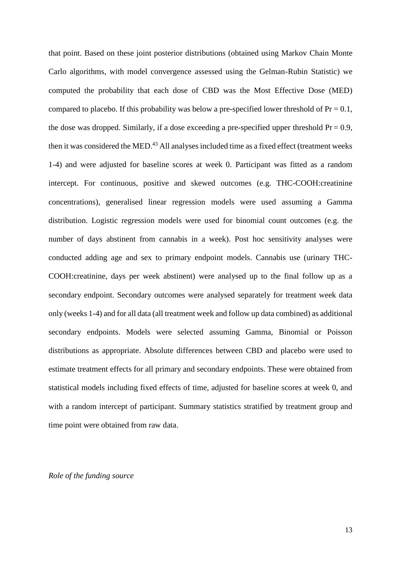that point. Based on these joint posterior distributions (obtained using Markov Chain Monte Carlo algorithms, with model convergence assessed using the Gelman-Rubin Statistic) we computed the probability that each dose of CBD was the Most Effective Dose (MED) compared to placebo. If this probability was below a pre-specified lower threshold of  $Pr = 0.1$ , the dose was dropped. Similarly, if a dose exceeding a pre-specified upper threshold Pr = 0.9*,* then it was considered the MED.<sup>43</sup> All analyses included time as a fixed effect (treatment weeks 1-4) and were adjusted for baseline scores at week 0. Participant was fitted as a random intercept. For continuous, positive and skewed outcomes (e.g. THC-COOH:creatinine concentrations), generalised linear regression models were used assuming a Gamma distribution. Logistic regression models were used for binomial count outcomes (e.g. the number of days abstinent from cannabis in a week). Post hoc sensitivity analyses were conducted adding age and sex to primary endpoint models. Cannabis use (urinary THC-COOH:creatinine, days per week abstinent) were analysed up to the final follow up as a secondary endpoint. Secondary outcomes were analysed separately for treatment week data only (weeks 1-4) and for all data (all treatment week and follow up data combined) as additional secondary endpoints. Models were selected assuming Gamma, Binomial or Poisson distributions as appropriate. Absolute differences between CBD and placebo were used to estimate treatment effects for all primary and secondary endpoints. These were obtained from statistical models including fixed effects of time, adjusted for baseline scores at week 0, and with a random intercept of participant. Summary statistics stratified by treatment group and time point were obtained from raw data.

#### *Role of the funding source*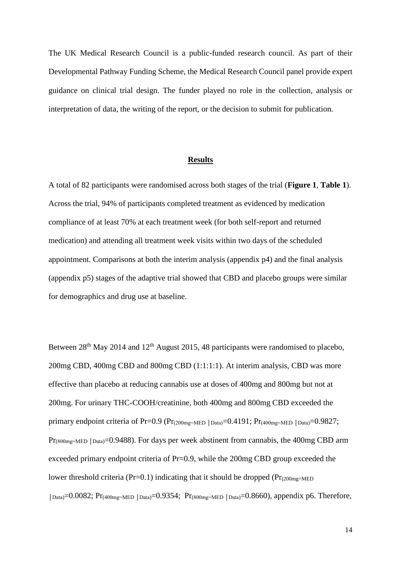The UK Medical Research Council is a public-funded research council. As part of their Developmental Pathway Funding Scheme, the Medical Research Council panel provide expert guidance on clinical trial design. The funder played no role in the collection, analysis or interpretation of data, the writing of the report, or the decision to submit for publication.

#### **Results**

A total of 82 participants were randomised across both stages of the trial (**Figure 1**, **Table 1**). Across the trial, 94% of participants completed treatment as evidenced by medication compliance of at least 70% at each treatment week (for both self-report and returned medication) and attending all treatment week visits within two days of the scheduled appointment. Comparisons at both the interim analysis (appendix p4) and the final analysis (appendix p5) stages of the adaptive trial showed that CBD and placebo groups were similar for demographics and drug use at baseline.

Between  $28<sup>th</sup>$  May 2014 and  $12<sup>th</sup>$  August 2015, 48 participants were randomised to placebo, 200mg CBD, 400mg CBD and 800mg CBD (1:1:1:1). At interim analysis, CBD was more effective than placebo at reducing cannabis use at doses of 400mg and 800mg but not at 200mg. For urinary THC-COOH/creatinine, both 400mg and 800mg CBD exceeded the primary endpoint criteria of Pr=0.9 (Pr<sub>(200mg=MED</sub> | Data)=0.4191; Pr<sub>(400mg=MED</sub> | Data)=0.9827; Pr<sub>(800mg=MED</sub> | <sub>Data)</sub>=0.9488). For days per week abstinent from cannabis, the 400mg CBD arm exceeded primary endpoint criteria of Pr=0.9, while the 200mg CBD group exceeded the lower threshold criteria (Pr=0.1) indicating that it should be dropped ( $Pr_{(200mg=MED)}$  $|_{\text{Data}}=0.0082; \text{Pr}_{(400mg=MED} |_{\text{Data}}=0.9354; \text{Pr}_{(800mg=MED} |_{\text{Data}}=0.8660)$ , appendix p6. Therefore,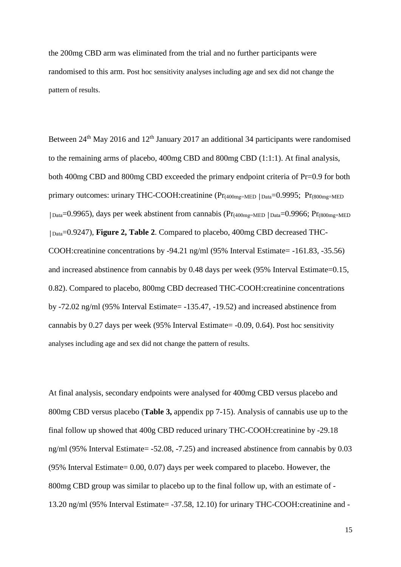the 200mg CBD arm was eliminated from the trial and no further participants were randomised to this arm. Post hoc sensitivity analyses including age and sex did not change the pattern of results.

Between  $24<sup>th</sup>$  May 2016 and  $12<sup>th</sup>$  January 2017 an additional 34 participants were randomised to the remaining arms of placebo, 400mg CBD and 800mg CBD (1:1:1). At final analysis, both 400mg CBD and 800mg CBD exceeded the primary endpoint criteria of Pr=0.9 for both primary outcomes: urinary THC-COOH:creatinine (Pr<sub>(400mg=MED</sub> | Data=0.9995; Pr<sub>(800mg=MED</sub>) │Data=0.9965), days per week abstinent from cannabis (Pr(400mg=MED │Data=0.9966; Pr(800mg=MED │Data=0.9247), **Figure 2, Table 2**. Compared to placebo, 400mg CBD decreased THC-COOH:creatinine concentrations by -94.21 ng/ml (95% Interval Estimate= -161.83, -35.56) and increased abstinence from cannabis by 0.48 days per week (95% Interval Estimate=0.15, 0.82). Compared to placebo, 800mg CBD decreased THC-COOH:creatinine concentrations by -72.02 ng/ml (95% Interval Estimate= -135.47, -19.52) and increased abstinence from cannabis by 0.27 days per week (95% Interval Estimate= -0.09, 0.64). Post hoc sensitivity analyses including age and sex did not change the pattern of results.

At final analysis, secondary endpoints were analysed for 400mg CBD versus placebo and 800mg CBD versus placebo (**Table 3,** appendix pp 7-15). Analysis of cannabis use up to the final follow up showed that 400g CBD reduced urinary THC-COOH:creatinine by -29.18 ng/ml (95% Interval Estimate= -52.08, -7.25) and increased abstinence from cannabis by 0.03 (95% Interval Estimate= 0.00, 0.07) days per week compared to placebo. However, the 800mg CBD group was similar to placebo up to the final follow up, with an estimate of - 13.20 ng/ml (95% Interval Estimate= -37.58, 12.10) for urinary THC-COOH:creatinine and -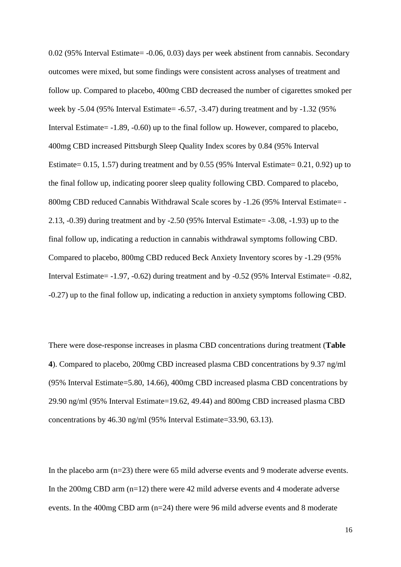0.02 (95% Interval Estimate= -0.06, 0.03) days per week abstinent from cannabis. Secondary outcomes were mixed, but some findings were consistent across analyses of treatment and follow up. Compared to placebo, 400mg CBD decreased the number of cigarettes smoked per week by -5.04 (95% Interval Estimate= -6.57, -3.47) during treatment and by -1.32 (95% Interval Estimate= -1.89, -0.60) up to the final follow up. However, compared to placebo, 400mg CBD increased Pittsburgh Sleep Quality Index scores by 0.84 (95% Interval Estimate= 0.15, 1.57) during treatment and by 0.55 (95% Interval Estimate= 0.21, 0.92) up to the final follow up, indicating poorer sleep quality following CBD. Compared to placebo, 800mg CBD reduced Cannabis Withdrawal Scale scores by -1.26 (95% Interval Estimate= - 2.13, -0.39) during treatment and by -2.50 (95% Interval Estimate= -3.08, -1.93) up to the final follow up, indicating a reduction in cannabis withdrawal symptoms following CBD. Compared to placebo, 800mg CBD reduced Beck Anxiety Inventory scores by -1.29 (95% Interval Estimate= -1.97, -0.62) during treatment and by -0.52 (95% Interval Estimate= -0.82, -0.27) up to the final follow up, indicating a reduction in anxiety symptoms following CBD.

There were dose-response increases in plasma CBD concentrations during treatment (**Table 4**). Compared to placebo, 200mg CBD increased plasma CBD concentrations by 9.37 ng/ml (95% Interval Estimate=5.80, 14.66), 400mg CBD increased plasma CBD concentrations by 29.90 ng/ml (95% Interval Estimate=19.62, 49.44) and 800mg CBD increased plasma CBD concentrations by 46.30 ng/ml (95% Interval Estimate=33.90, 63.13).

In the placebo arm (n=23) there were 65 mild adverse events and 9 moderate adverse events. In the 200mg CBD arm (n=12) there were 42 mild adverse events and 4 moderate adverse events. In the 400mg CBD arm (n=24) there were 96 mild adverse events and 8 moderate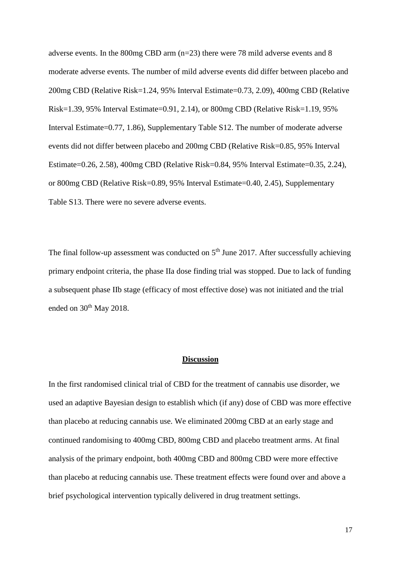adverse events. In the 800mg CBD arm (n=23) there were 78 mild adverse events and 8 moderate adverse events. The number of mild adverse events did differ between placebo and 200mg CBD (Relative Risk=1.24, 95% Interval Estimate=0.73, 2.09), 400mg CBD (Relative Risk=1.39, 95% Interval Estimate=0.91, 2.14), or 800mg CBD (Relative Risk=1.19, 95% Interval Estimate=0.77, 1.86), Supplementary Table S12. The number of moderate adverse events did not differ between placebo and 200mg CBD (Relative Risk=0.85, 95% Interval Estimate=0.26, 2.58), 400mg CBD (Relative Risk=0.84, 95% Interval Estimate=0.35, 2.24), or 800mg CBD (Relative Risk=0.89, 95% Interval Estimate=0.40, 2.45), Supplementary Table S13. There were no severe adverse events.

The final follow-up assessment was conducted on  $5<sup>th</sup>$  June 2017. After successfully achieving primary endpoint criteria, the phase IIa dose finding trial was stopped. Due to lack of funding a subsequent phase IIb stage (efficacy of most effective dose) was not initiated and the trial ended on 30<sup>th</sup> May 2018.

#### **Discussion**

In the first randomised clinical trial of CBD for the treatment of cannabis use disorder, we used an adaptive Bayesian design to establish which (if any) dose of CBD was more effective than placebo at reducing cannabis use. We eliminated 200mg CBD at an early stage and continued randomising to 400mg CBD, 800mg CBD and placebo treatment arms. At final analysis of the primary endpoint, both 400mg CBD and 800mg CBD were more effective than placebo at reducing cannabis use. These treatment effects were found over and above a brief psychological intervention typically delivered in drug treatment settings.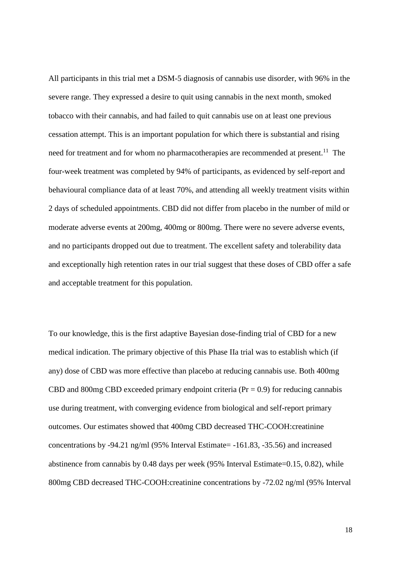All participants in this trial met a DSM-5 diagnosis of cannabis use disorder, with 96% in the severe range. They expressed a desire to quit using cannabis in the next month, smoked tobacco with their cannabis, and had failed to quit cannabis use on at least one previous cessation attempt. This is an important population for which there is substantial and rising need for treatment and for whom no pharmacotherapies are recommended at present.<sup>11</sup> The four-week treatment was completed by 94% of participants, as evidenced by self-report and behavioural compliance data of at least 70%, and attending all weekly treatment visits within 2 days of scheduled appointments. CBD did not differ from placebo in the number of mild or moderate adverse events at 200mg, 400mg or 800mg. There were no severe adverse events, and no participants dropped out due to treatment. The excellent safety and tolerability data and exceptionally high retention rates in our trial suggest that these doses of CBD offer a safe and acceptable treatment for this population.

To our knowledge, this is the first adaptive Bayesian dose-finding trial of CBD for a new medical indication. The primary objective of this Phase IIa trial was to establish which (if any) dose of CBD was more effective than placebo at reducing cannabis use. Both 400mg CBD and 800mg CBD exceeded primary endpoint criteria ( $Pr = 0.9$ ) for reducing cannabis use during treatment, with converging evidence from biological and self-report primary outcomes. Our estimates showed that 400mg CBD decreased THC-COOH:creatinine concentrations by -94.21 ng/ml (95% Interval Estimate= -161.83, -35.56) and increased abstinence from cannabis by 0.48 days per week (95% Interval Estimate=0.15, 0.82), while 800mg CBD decreased THC-COOH:creatinine concentrations by -72.02 ng/ml (95% Interval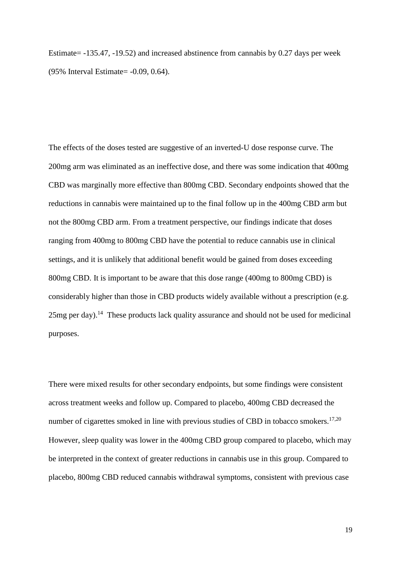Estimate= -135.47, -19.52) and increased abstinence from cannabis by 0.27 days per week (95% Interval Estimate= -0.09, 0.64).

The effects of the doses tested are suggestive of an inverted-U dose response curve. The 200mg arm was eliminated as an ineffective dose, and there was some indication that 400mg CBD was marginally more effective than 800mg CBD. Secondary endpoints showed that the reductions in cannabis were maintained up to the final follow up in the 400mg CBD arm but not the 800mg CBD arm. From a treatment perspective, our findings indicate that doses ranging from 400mg to 800mg CBD have the potential to reduce cannabis use in clinical settings, and it is unlikely that additional benefit would be gained from doses exceeding 800mg CBD. It is important to be aware that this dose range (400mg to 800mg CBD) is considerably higher than those in CBD products widely available without a prescription (e.g.  $25mg$  per day).<sup>14</sup> These products lack quality assurance and should not be used for medicinal purposes.

There were mixed results for other secondary endpoints, but some findings were consistent across treatment weeks and follow up. Compared to placebo, 400mg CBD decreased the number of cigarettes smoked in line with previous studies of CBD in tobacco smokers.<sup>17,20</sup> However, sleep quality was lower in the 400mg CBD group compared to placebo, which may be interpreted in the context of greater reductions in cannabis use in this group. Compared to placebo, 800mg CBD reduced cannabis withdrawal symptoms, consistent with previous case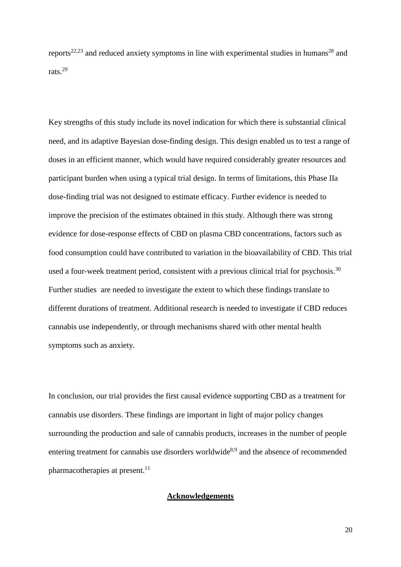reports<sup>22,23</sup> and reduced anxiety symptoms in line with experimental studies in humans<sup>28</sup> and rats<sup>29</sup>

Key strengths of this study include its novel indication for which there is substantial clinical need, and its adaptive Bayesian dose-finding design. This design enabled us to test a range of doses in an efficient manner, which would have required considerably greater resources and participant burden when using a typical trial design. In terms of limitations, this Phase IIa dose-finding trial was not designed to estimate efficacy. Further evidence is needed to improve the precision of the estimates obtained in this study. Although there was strong evidence for dose-response effects of CBD on plasma CBD concentrations, factors such as food consumption could have contributed to variation in the bioavailability of CBD. This trial used a four-week treatment period, consistent with a previous clinical trial for psychosis.<sup>30</sup> Further studies are needed to investigate the extent to which these findings translate to different durations of treatment. Additional research is needed to investigate if CBD reduces cannabis use independently, or through mechanisms shared with other mental health symptoms such as anxiety.

In conclusion, our trial provides the first causal evidence supporting CBD as a treatment for cannabis use disorders. These findings are important in light of major policy changes surrounding the production and sale of cannabis products, increases in the number of people entering treatment for cannabis use disorders worldwide<sup>8,9</sup> and the absence of recommended pharmacotherapies at present.<sup>11</sup>

## **Acknowledgements**

20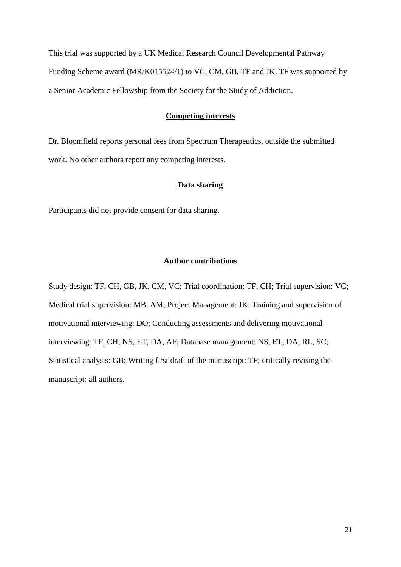This trial was supported by a UK Medical Research Council Developmental Pathway Funding Scheme award (MR/K015524/1) to VC, CM, GB, TF and JK. TF was supported by a Senior Academic Fellowship from the Society for the Study of Addiction.

# **Competing interests**

Dr. Bloomfield reports personal fees from Spectrum Therapeutics, outside the submitted work. No other authors report any competing interests.

## **Data sharing**

Participants did not provide consent for data sharing.

#### **Author contributions**

Study design: TF, CH, GB, JK, CM, VC; Trial coordination: TF, CH; Trial supervision: VC; Medical trial supervision: MB, AM; Project Management: JK; Training and supervision of motivational interviewing: DO; Conducting assessments and delivering motivational interviewing: TF, CH, NS, ET, DA, AF; Database management: NS, ET, DA, RL, SC; Statistical analysis: GB; Writing first draft of the manuscript: TF; critically revising the manuscript: all authors.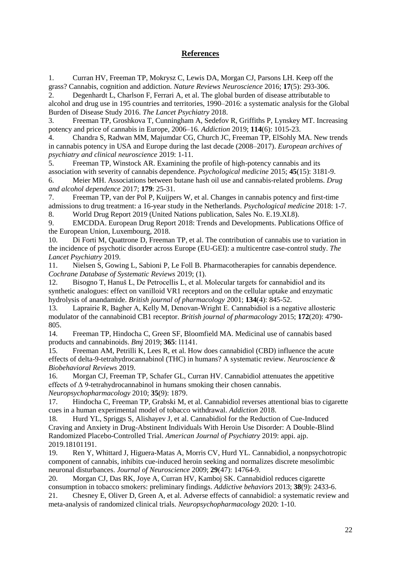# **References**

1. Curran HV, Freeman TP, Mokrysz C, Lewis DA, Morgan CJ, Parsons LH. Keep off the grass? Cannabis, cognition and addiction. *Nature Reviews Neuroscience* 2016; **17**(5): 293-306.

2. Degenhardt L, Charlson F, Ferrari A, et al. The global burden of disease attributable to alcohol and drug use in 195 countries and territories, 1990–2016: a systematic analysis for the Global Burden of Disease Study 2016. *The Lancet Psychiatry* 2018.

3. Freeman TP, Groshkova T, Cunningham A, Sedefov R, Griffiths P, Lynskey MT. Increasing potency and price of cannabis in Europe, 2006–16. *Addiction* 2019; **114**(6): 1015-23.

4. Chandra S, Radwan MM, Majumdar CG, Church JC, Freeman TP, ElSohly MA. New trends in cannabis potency in USA and Europe during the last decade (2008–2017). *European archives of psychiatry and clinical neuroscience* 2019: 1-11.

5. Freeman TP, Winstock AR. Examining the profile of high-potency cannabis and its association with severity of cannabis dependence. *Psychological medicine* 2015; **45**(15): 3181-9.

6. Meier MH. Associations between butane hash oil use and cannabis-related problems. *Drug and alcohol dependence* 2017; **179**: 25-31.

7. Freeman TP, van der Pol P, Kuijpers W, et al. Changes in cannabis potency and first-time admissions to drug treatment: a 16-year study in the Netherlands. *Psychological medicine* 2018: 1-7. 8. World Drug Report 2019 (United Nations publication, Sales No. E.19.XI.8).

9. EMCDDA. European Drug Report 2018: Trends and Developments. Publications Office of the European Union, Luxembourg, 2018.

10. Di Forti M, Quattrone D, Freeman TP, et al. The contribution of cannabis use to variation in the incidence of psychotic disorder across Europe (EU-GEI): a multicentre case-control study. *The Lancet Psychiatry* 2019.

11. Nielsen S, Gowing L, Sabioni P, Le Foll B. Pharmacotherapies for cannabis dependence. *Cochrane Database of Systematic Reviews* 2019; (1).

12. Bisogno T, Hanuš L, De Petrocellis L, et al. Molecular targets for cannabidiol and its synthetic analogues: effect on vanilloid VR1 receptors and on the cellular uptake and enzymatic hydrolysis of anandamide. *British journal of pharmacology* 2001; **134**(4): 845-52.

13. Laprairie R, Bagher A, Kelly M, Denovan‐Wright E. Cannabidiol is a negative allosteric modulator of the cannabinoid CB1 receptor. *British journal of pharmacology* 2015; **172**(20): 4790- 805.

14. Freeman TP, Hindocha C, Green SF, Bloomfield MA. Medicinal use of cannabis based products and cannabinoids. *Bmj* 2019; **365**: l1141.

15. Freeman AM, Petrilli K, Lees R, et al. How does cannabidiol (CBD) influence the acute effects of delta-9-tetrahydrocannabinol (THC) in humans? A systematic review. *Neuroscience & Biobehavioral Reviews* 2019.

16. Morgan CJ, Freeman TP, Schafer GL, Curran HV. Cannabidiol attenuates the appetitive effects of Δ 9-tetrahydrocannabinol in humans smoking their chosen cannabis. *Neuropsychopharmacology* 2010; **35**(9): 1879.

17. Hindocha C, Freeman TP, Grabski M, et al. Cannabidiol reverses attentional bias to cigarette cues in a human experimental model of tobacco withdrawal. *Addiction* 2018.

18. Hurd YL, Spriggs S, Alishayev J, et al. Cannabidiol for the Reduction of Cue-Induced Craving and Anxiety in Drug-Abstinent Individuals With Heroin Use Disorder: A Double-Blind Randomized Placebo-Controlled Trial. *American Journal of Psychiatry* 2019: appi. ajp. 2019.18101191.

19. Ren Y, Whittard J, Higuera-Matas A, Morris CV, Hurd YL. Cannabidiol, a nonpsychotropic component of cannabis, inhibits cue-induced heroin seeking and normalizes discrete mesolimbic neuronal disturbances. *Journal of Neuroscience* 2009; **29**(47): 14764-9.

20. Morgan CJ, Das RK, Joye A, Curran HV, Kamboj SK. Cannabidiol reduces cigarette consumption in tobacco smokers: preliminary findings. *Addictive behaviors* 2013; **38**(9): 2433-6.

21. Chesney E, Oliver D, Green A, et al. Adverse effects of cannabidiol: a systematic review and meta-analysis of randomized clinical trials. *Neuropsychopharmacology* 2020: 1-10.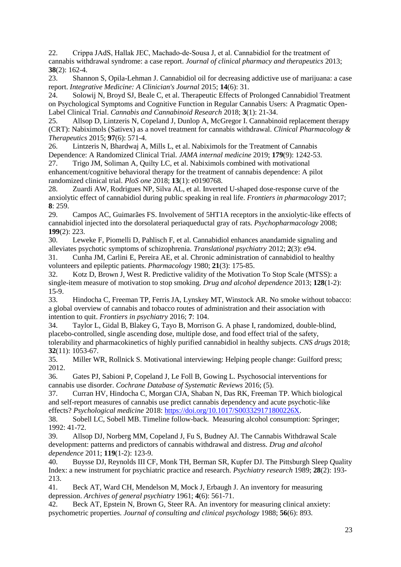22. Crippa JAdS, Hallak JEC, Machado-de-Sousa J, et al. Cannabidiol for the treatment of cannabis withdrawal syndrome: a case report. *Journal of clinical pharmacy and therapeutics* 2013; **38**(2): 162-4.

23. Shannon S, Opila-Lehman J. Cannabidiol oil for decreasing addictive use of marijuana: a case report. *Integrative Medicine: A Clinician's Journal* 2015; **14**(6): 31.

24. Solowij N, Broyd SJ, Beale C, et al. Therapeutic Effects of Prolonged Cannabidiol Treatment on Psychological Symptoms and Cognitive Function in Regular Cannabis Users: A Pragmatic Open-Label Clinical Trial. *Cannabis and Cannabinoid Research* 2018; **3**(1): 21-34.

25. Allsop D, Lintzeris N, Copeland J, Dunlop A, McGregor I. Cannabinoid replacement therapy (CRT): Nabiximols (Sativex) as a novel treatment for cannabis withdrawal. *Clinical Pharmacology & Therapeutics* 2015; **97**(6): 571-4.

26. Lintzeris N, Bhardwaj A, Mills L, et al. Nabiximols for the Treatment of Cannabis Dependence: A Randomized Clinical Trial. *JAMA internal medicine* 2019; **179**(9): 1242-53.

27. Trigo JM, Soliman A, Quilty LC, et al. Nabiximols combined with motivational enhancement/cognitive behavioral therapy for the treatment of cannabis dependence: A pilot randomized clinical trial. *PloS one* 2018; **13**(1): e0190768.

28. Zuardi AW, Rodrigues NP, Silva AL, et al. Inverted U-shaped dose-response curve of the anxiolytic effect of cannabidiol during public speaking in real life. *Frontiers in pharmacology* 2017; **8**: 259.

29. Campos AC, Guimarães FS. Involvement of 5HT1A receptors in the anxiolytic-like effects of cannabidiol injected into the dorsolateral periaqueductal gray of rats. *Psychopharmacology* 2008; **199**(2): 223.

30. Leweke F, Piomelli D, Pahlisch F, et al. Cannabidiol enhances anandamide signaling and alleviates psychotic symptoms of schizophrenia. *Translational psychiatry* 2012; **2**(3): e94.

31. Cunha JM, Carlini E, Pereira AE, et al. Chronic administration of cannabidiol to healthy volunteers and epileptic patients. *Pharmacology* 1980; **21**(3): 175-85.

32. Kotz D, Brown J, West R. Predictive validity of the Motivation To Stop Scale (MTSS): a single-item measure of motivation to stop smoking. *Drug and alcohol dependence* 2013; **128**(1-2): 15-9.

33. Hindocha C, Freeman TP, Ferris JA, Lynskey MT, Winstock AR. No smoke without tobacco: a global overview of cannabis and tobacco routes of administration and their association with intention to quit. *Frontiers in psychiatry* 2016; **7**: 104.

34. Taylor L, Gidal B, Blakey G, Tayo B, Morrison G. A phase I, randomized, double-blind, placebo-controlled, single ascending dose, multiple dose, and food effect trial of the safety, tolerability and pharmacokinetics of highly purified cannabidiol in healthy subjects. *CNS drugs* 2018; **32**(11): 1053-67.

35. Miller WR, Rollnick S. Motivational interviewing: Helping people change: Guilford press; 2012.

36. Gates PJ, Sabioni P, Copeland J, Le Foll B, Gowing L. Psychosocial interventions for cannabis use disorder. *Cochrane Database of Systematic Reviews* 2016; (5).

37. Curran HV, Hindocha C, Morgan CJA, Shaban N, Das RK, Freeman TP. Which biological and self-report measures of cannabis use predict cannabis dependency and acute psychotic-like effects? *Psychological medicine* 2018: [https://doi.org/10.1017/S003329171800226X.](https://doi.org/10.1017/S003329171800226X)

38. Sobell LC, Sobell MB. Timeline follow-back. Measuring alcohol consumption: Springer; 1992: 41-72.

39. Allsop DJ, Norberg MM, Copeland J, Fu S, Budney AJ. The Cannabis Withdrawal Scale development: patterns and predictors of cannabis withdrawal and distress. *Drug and alcohol dependence* 2011; **119**(1-2): 123-9.

40. Buysse DJ, Reynolds III CF, Monk TH, Berman SR, Kupfer DJ. The Pittsburgh Sleep Quality Index: a new instrument for psychiatric practice and research. *Psychiatry research* 1989; **28**(2): 193- 213.

41. Beck AT, Ward CH, Mendelson M, Mock J, Erbaugh J. An inventory for measuring depression. *Archives of general psychiatry* 1961; **4**(6): 561-71.

42. Beck AT, Epstein N, Brown G, Steer RA. An inventory for measuring clinical anxiety: psychometric properties. *Journal of consulting and clinical psychology* 1988; **56**(6): 893.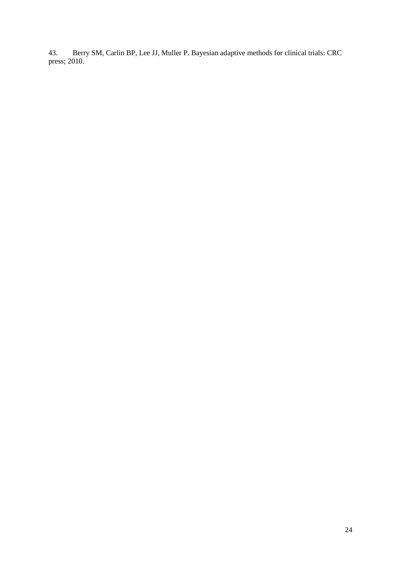43. Berry SM, Carlin BP, Lee JJ, Muller P. Bayesian adaptive methods for clinical trials: CRC press; 2010.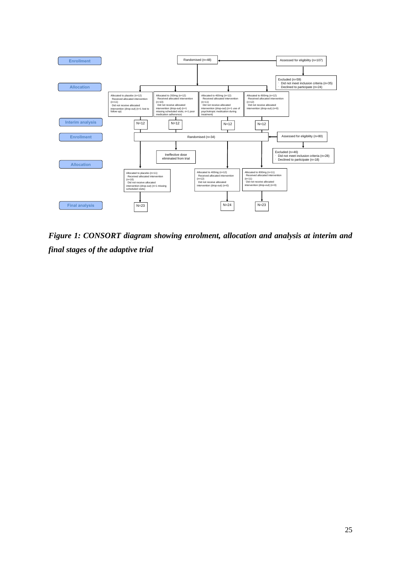

*Figure 1: CONSORT diagram showing enrolment, allocation and analysis at interim and final stages of the adaptive trial*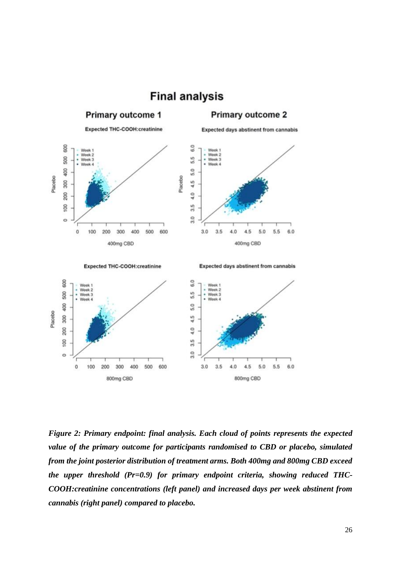

*Figure 2: Primary endpoint: final analysis. Each cloud of points represents the expected value of the primary outcome for participants randomised to CBD or placebo, simulated from the joint posterior distribution of treatment arms. Both 400mg and 800mg CBD exceed the upper threshold (Pr=0.9) for primary endpoint criteria, showing reduced THC-COOH:creatinine concentrations (left panel) and increased days per week abstinent from cannabis (right panel) compared to placebo.*

## 26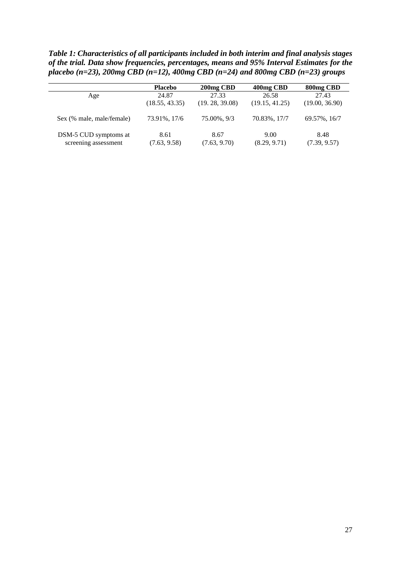*Table 1: Characteristics of all participants included in both interim and final analysis stages of the trial. Data show frequencies, percentages, means and 95% Interval Estimates for the placebo (n=23), 200mg CBD (n=12), 400mg CBD (n=24) and 800mg CBD (n=23) groups*

|                           | <b>Placebo</b> | 200 <sub>mg</sub> CBD | 400 <sub>mg</sub> CBD | 800 <sub>mg</sub> CBD |
|---------------------------|----------------|-----------------------|-----------------------|-----------------------|
| Age                       | 24.87          | 27.33                 | 26.58                 | 27.43                 |
|                           | (18.55, 43.35) | (19.28, 39.08)        | (19.15, 41.25)        | (19.00, 36.90)        |
| Sex (% male, male/female) | 73.91%, 17/6   | 75.00%, 9/3           | 70.83%, 17/7          | 69.57%, 16/7          |
| DSM-5 CUD symptoms at     | 8.61           | 8.67                  | 9.00                  | 8.48                  |
| screening assessment      | (7.63, 9.58)   | (7.63, 9.70)          | (8.29, 9.71)          | (7.39, 9.57)          |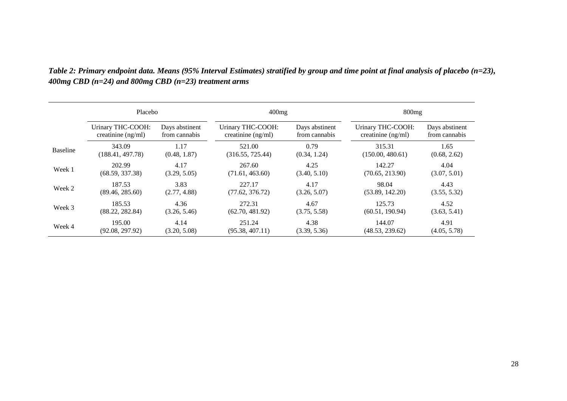|                 | Placebo              |                | 400mg                |                | 800mg                |                |  |
|-----------------|----------------------|----------------|----------------------|----------------|----------------------|----------------|--|
|                 | Urinary THC-COOH:    | Days abstinent | Urinary THC-COOH:    | Days abstinent | Urinary THC-COOH:    | Days abstinent |  |
|                 | creatinine $(ng/ml)$ | from cannabis  | creatinine $(ng/ml)$ | from cannabis  | creatinine $(ng/ml)$ | from cannabis  |  |
| <b>Baseline</b> | 343.09               | 1.17           | 521.00               | 0.79           | 315.31               | 1.65           |  |
|                 | (188.41, 497.78)     | (0.48, 1.87)   | (316.55, 725.44)     | (0.34, 1.24)   | (150.00, 480.61)     | (0.68, 2.62)   |  |
| Week 1          | 202.99               | 4.17           | 267.60               | 4.25           | 142.27               | 4.04           |  |
|                 | (68.59, 337.38)      | (3.29, 5.05)   | (71.61, 463.60)      | (3.40, 5.10)   | (70.65, 213.90)      | (3.07, 5.01)   |  |
| Week 2          | 187.53               | 3.83           | 227.17               | 4.17           | 98.04                | 4.43           |  |
|                 | (89.46, 285.60)      | (2.77, 4.88)   | (77.62, 376.72)      | (3.26, 5.07)   | (53.89, 142.20)      | (3.55, 5.32)   |  |
| Week 3          | 185.53               | 4.36           | 272.31               | 4.67           | 125.73               | 4.52           |  |
|                 | (88.22, 282.84)      | (3.26, 5.46)   | (62.70, 481.92)      | (3.75, 5.58)   | (60.51, 190.94)      | (3.63, 5.41)   |  |
| Week 4          | 195.00               | 4.14           | 251.24               | 4.38           | 144.07               | 4.91           |  |
|                 | (92.08, 297.92)      | (3.20, 5.08)   | (95.38, 407.11)      | (3.39, 5.36)   | (48.53, 239.62)      | (4.05, 5.78)   |  |

*Table 2: Primary endpoint data. Means (95% Interval Estimates) stratified by group and time point at final analysis of placebo (n=23), 400mg CBD (n=24) and 800mg CBD (n=23) treatment arms*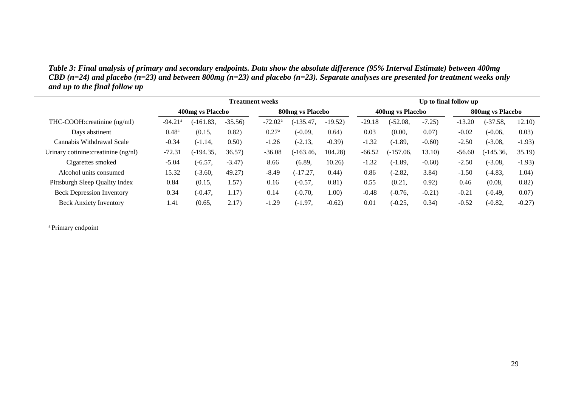*Table 3: Final analysis of primary and secondary endpoints. Data show the absolute difference (95% Interval Estimate) between 400mg CBD (n=24) and placebo (n=23) and between 800mg (n=23) and placebo (n=23). Separate analyses are presented for treatment weeks only and up to the final follow up*

|                                      |                       |                  |           | <b>Treatment weeks</b> |                  |           |          |                  |         | Up to final follow up |                   |         |  |
|--------------------------------------|-----------------------|------------------|-----------|------------------------|------------------|-----------|----------|------------------|---------|-----------------------|-------------------|---------|--|
|                                      |                       | 400mg vs Placebo |           |                        | 800mg vs Placebo |           |          | 400mg vs Placebo |         |                       | 800 mg vs Placebo |         |  |
| THC-COOH:creatinine (ng/ml)          | $-94.21$ <sup>a</sup> | $(-161.83,$      | $-35.56$  | $-72.02a$              | $(-135.47,$      | $-19.52$  | $-29.18$ | $(-52.08,$       | $-7.25$ | $-13.20$              | $(-37.58,$        | 12.10)  |  |
| Days abstinent                       | $0.48^{\rm a}$        | (0.15,           | 0.82)     | 0.27 <sup>a</sup>      | $(-0.09,$        | 0.64)     | 0.03     | (0.00,           | 0.07)   | $-0.02$               | $(-0.06,$         | 0.03)   |  |
| Cannabis Withdrawal Scale            | $-0.34$               | $(-1.14,$        | 0.50)     | $-1.26$                | $(-2.13,$        | $-0.39$ ) | $-1.32$  | $(-1.89,$        | $-0.60$ | $-2.50$               | $(-3.08,$         | $-1.93$ |  |
| Urinary cotinine: creatinine (ng/nl) | $-72.31$              | (-194.35.        | 36.57)    | $-36.08$               | $(-163.46,$      | 104.28    | $-66.52$ | $(-157.06,$      | 13.10   | $-56.60$              | (-145.36,         | 35.19   |  |
| Cigarettes smoked                    | $-5.04$               | $(-6.57,$        | $-3.47$ ) | 8.66                   | (6.89,           | 10.26     | $-1.32$  | $(-1.89,$        | $-0.60$ | $-2.50$               | $(-3.08,$         | $-1.93$ |  |
| Alcohol units consumed               | 15.32                 | $(-3.60,$        | 49.27)    | $-8.49$                | $(-17.27.$       | (0.44)    | 0.86     | $(-2.82,$        | 3.84)   | $-1.50$               | $(-4.83,$         | 1.04)   |  |
| Pittsburgh Sleep Quality Index       | 0.84                  | (0.15,           | 1.57)     | 0.16                   | $(-0.57,$        | 0.81)     | 0.55     | (0.21,           | 0.92)   | 0.46                  | (0.08,            | 0.82)   |  |
| <b>Beck Depression Inventory</b>     | 0.34                  | $(-0.47,$        | 1.17)     | 0.14                   | $(-0.70,$        | 1.00)     | $-0.48$  | $(-0.76,$        | $-0.21$ | $-0.21$               | $(-0.49,$         | 0.07)   |  |
| <b>Beck Anxiety Inventory</b>        | 1.41                  | (0.65,           | 2.17)     | $-1.29$                | (-1.97,          | $-0.62$ ) | 0.01     | $(-0.25,$        | 0.34)   | $-0.52$               | $(-0.82,$         | $-0.27$ |  |

<sup>a</sup> Primary endpoint

 $\overline{\phantom{a}}$ 

ш.